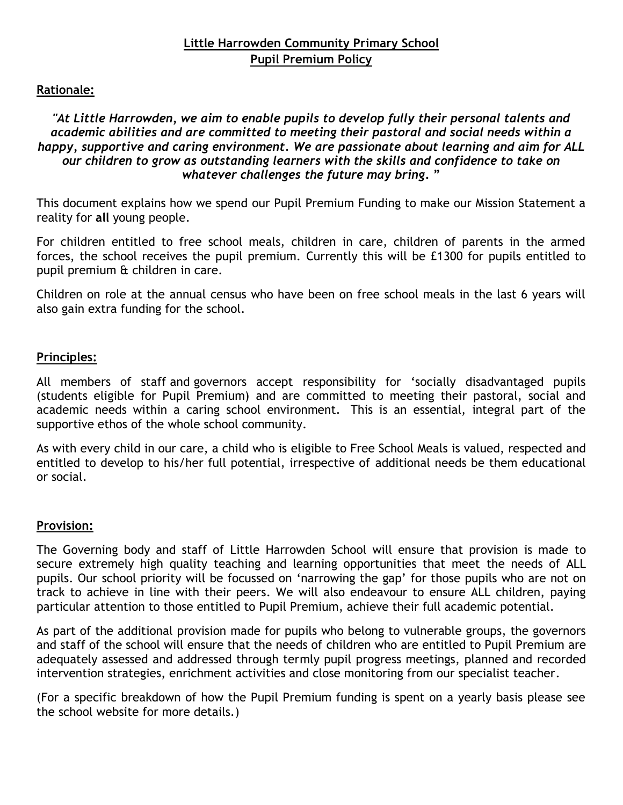# **Little Harrowden Community Primary School Pupil Premium Policy**

#### **Rationale:**

*"At Little Harrowden, we aim to enable pupils to develop fully their personal talents and academic abilities and are committed to meeting their pastoral and social needs within a happy, supportive and caring environment. We are passionate about learning and aim for ALL our children to grow as outstanding learners with the skills and confidence to take on whatever challenges the future may bring***. "**

This document explains how we spend our Pupil Premium Funding to make our Mission Statement a reality for **all** young people.

For children entitled to free school meals, children in care, children of parents in the armed forces, the school receives the pupil premium. Currently this will be £1300 for pupils entitled to pupil premium & children in care.

Children on role at the annual census who have been on free school meals in the last 6 years will also gain extra funding for the school.

### **Principles:**

All members of staff and governors accept responsibility for 'socially disadvantaged pupils (students eligible for Pupil Premium) and are committed to meeting their pastoral, social and academic needs within a caring school environment. This is an essential, integral part of the supportive ethos of the whole school community.

As with every child in our care, a child who is eligible to Free School Meals is valued, respected and entitled to develop to his/her full potential, irrespective of additional needs be them educational or social.

#### **Provision:**

The Governing body and staff of Little Harrowden School will ensure that provision is made to secure extremely high quality teaching and learning opportunities that meet the needs of ALL pupils. Our school priority will be focussed on 'narrowing the gap' for those pupils who are not on track to achieve in line with their peers. We will also endeavour to ensure ALL children, paying particular attention to those entitled to Pupil Premium, achieve their full academic potential.

As part of the additional provision made for pupils who belong to vulnerable groups, the governors and staff of the school will ensure that the needs of children who are entitled to Pupil Premium are adequately assessed and addressed through termly pupil progress meetings, planned and recorded intervention strategies, enrichment activities and close monitoring from our specialist teacher.

(For a specific breakdown of how the Pupil Premium funding is spent on a yearly basis please see the school website for more details.)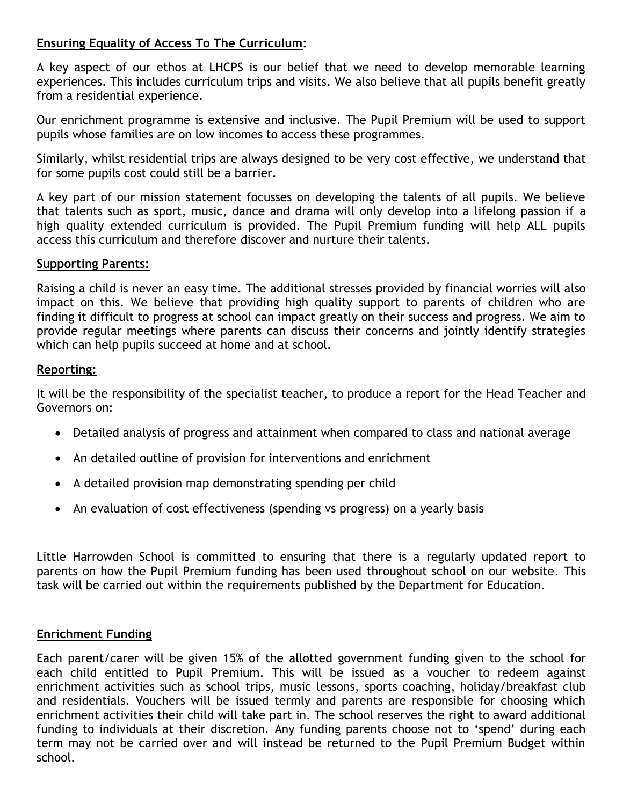## **Ensuring Equality of Access To The Curriculum:**

A key aspect of our ethos at LHCPS is our belief that we need to develop memorable learning experiences. This includes curriculum trips and visits. We also believe that all pupils benefit greatly from a residential experience.

Our enrichment programme is extensive and inclusive. The Pupil Premium will be used to support pupils whose families are on low incomes to access these programmes.

Similarly, whilst residential trips are always designed to be very cost effective, we understand that for some pupils cost could still be a barrier.

A key part of our mission statement focusses on developing the talents of all pupils. We believe that talents such as sport, music, dance and drama will only develop into a lifelong passion if a high quality extended curriculum is provided. The Pupil Premium funding will help ALL pupils access this curriculum and therefore discover and nurture their talents.

### **Supporting Parents:**

Raising a child is never an easy time. The additional stresses provided by financial worries will also impact on this. We believe that providing high quality support to parents of children who are finding it difficult to progress at school can impact greatly on their success and progress. We aim to provide regular meetings where parents can discuss their concerns and jointly identify strategies which can help pupils succeed at home and at school.

### **Reporting:**

It will be the responsibility of the specialist teacher, to produce a report for the Head Teacher and Governors on:

- Detailed analysis of progress and attainment when compared to class and national average
- An detailed outline of provision for interventions and enrichment
- A detailed provision map demonstrating spending per child
- An evaluation of cost effectiveness (spending vs progress) on a yearly basis

Little Harrowden School is committed to ensuring that there is a regularly updated report to parents on how the Pupil Premium funding has been used throughout school on our website. This task will be carried out within the requirements published by the Department for Education.

## **Enrichment Funding**

Each parent/carer will be given 15% of the allotted government funding given to the school for each child entitled to Pupil Premium. This will be issued as a voucher to redeem against enrichment activities such as school trips, music lessons, sports coaching, holiday/breakfast club and residentials. Vouchers will be issued termly and parents are responsible for choosing which enrichment activities their child will take part in. The school reserves the right to award additional funding to individuals at their discretion. Any funding parents choose not to 'spend' during each term may not be carried over and will instead be returned to the Pupil Premium Budget within school.